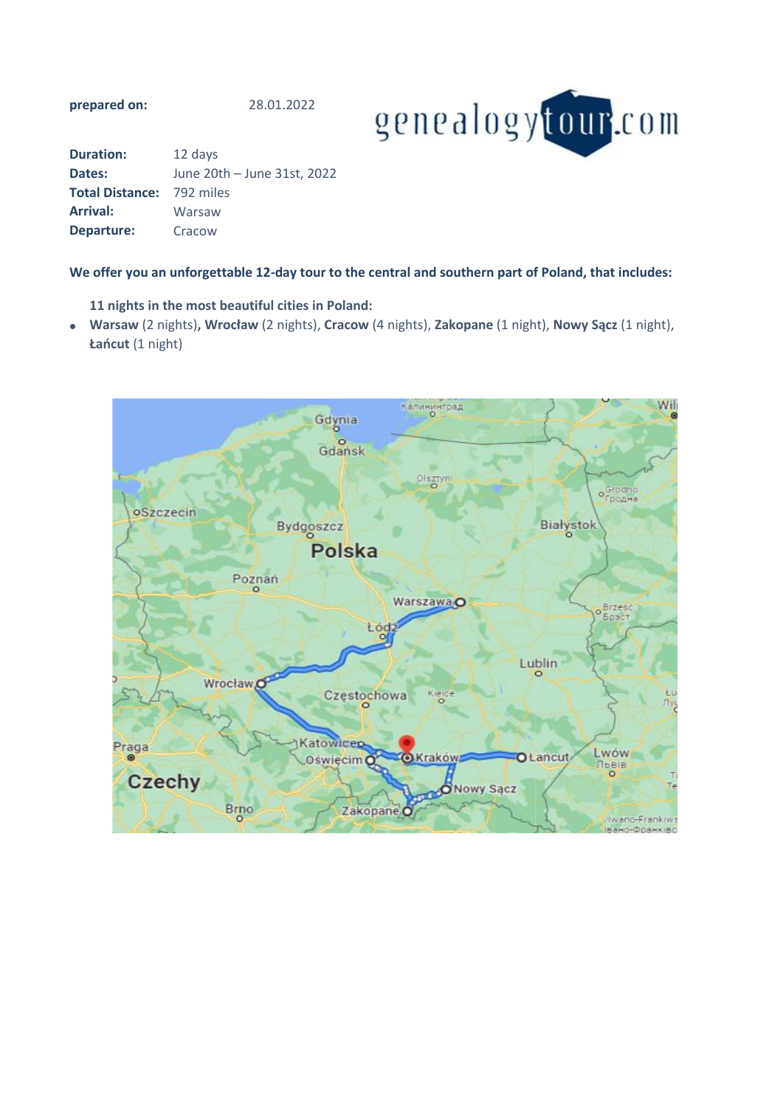**prepared on:**

28.01.2022



| <b>Duration:</b>                 | 12 days                     |
|----------------------------------|-----------------------------|
| Dates:                           | June 20th - June 31st, 2022 |
| <b>Total Distance: 792 miles</b> |                             |
| <b>Arrival:</b>                  | Warsaw                      |
| Departure:                       | Cracow                      |

# **We offer you an unforgettable 12-day tour to the central and southern part of Poland, that includes:**

**11 nights in the most beautiful cities in Poland:**

• **Warsaw** (2 nights)**, Wrocław** (2 nights), **Cracow** (4 nights), **Zakopane** (1 night), **Nowy Sącz** (1 night), **Łańcut** (1 night)

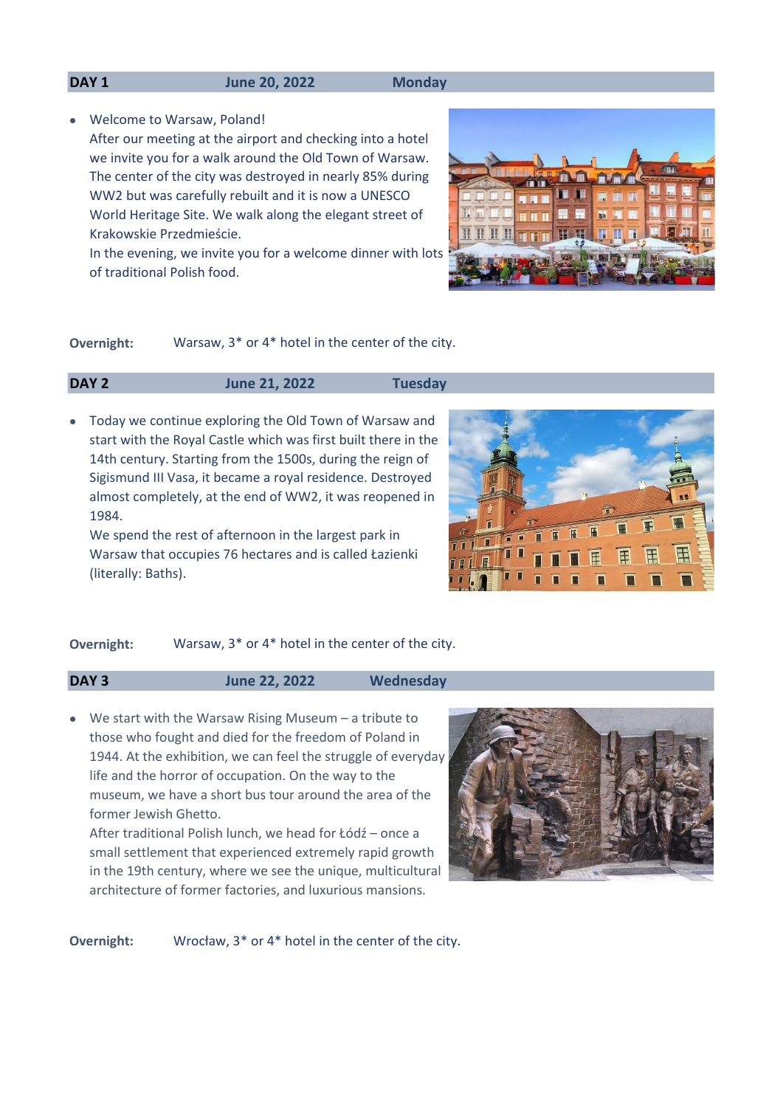#### **DAY 1 June 20, 2022 Monday**

• Welcome to Warsaw, Poland!

After our meeting at the airport and checking into a hotel we invite you for a walk around the Old Town of Warsaw. The center of the city was destroyed in nearly 85% during WW2 but was carefully rebuilt and it is now a UNESCO World Heritage Site. We walk along the elegant street of Krakowskie Przedmieście.

In the evening, we invite you for a welcome dinner with lots of traditional Polish food.



**Overnight:** Warsaw, 3\* or 4\* hotel in the center of the city.

### **DAY 2 June 21, 2022 Tuesday**

• Today we continue exploring the Old Town of Warsaw and start with the Royal Castle which was first built there in the 14th century. Starting from the 1500s, during the reign of Sigismund III Vasa, it became a royal residence. Destroyed almost completely, at the end of WW2, it was reopened in 1984.

We spend the rest of afternoon in the largest park in Warsaw that occupies 76 hectares and is called Łazienki (literally: Baths).



# **Overnight:** Warsaw, 3\* or 4\* hotel in the center of the city.

**DAY 3 June 22, 2022 Wednesday**

• We start with the Warsaw Rising Museum - a tribute to those who fought and died for the freedom of Poland in 1944. At the exhibition, we can feel the struggle of everyday life and the horror of occupation. On the way to the museum, we have a short bus tour around the area of the former Jewish Ghetto.

After traditional Polish lunch, we head for Łódź – once a small settlement that experienced extremely rapid growth in the 19th century, where we see the unique, multicultural architecture of former factories, and luxurious mansions.



Wrocław, 3\* or 4\* hotel in the center of the city. **Overnight:**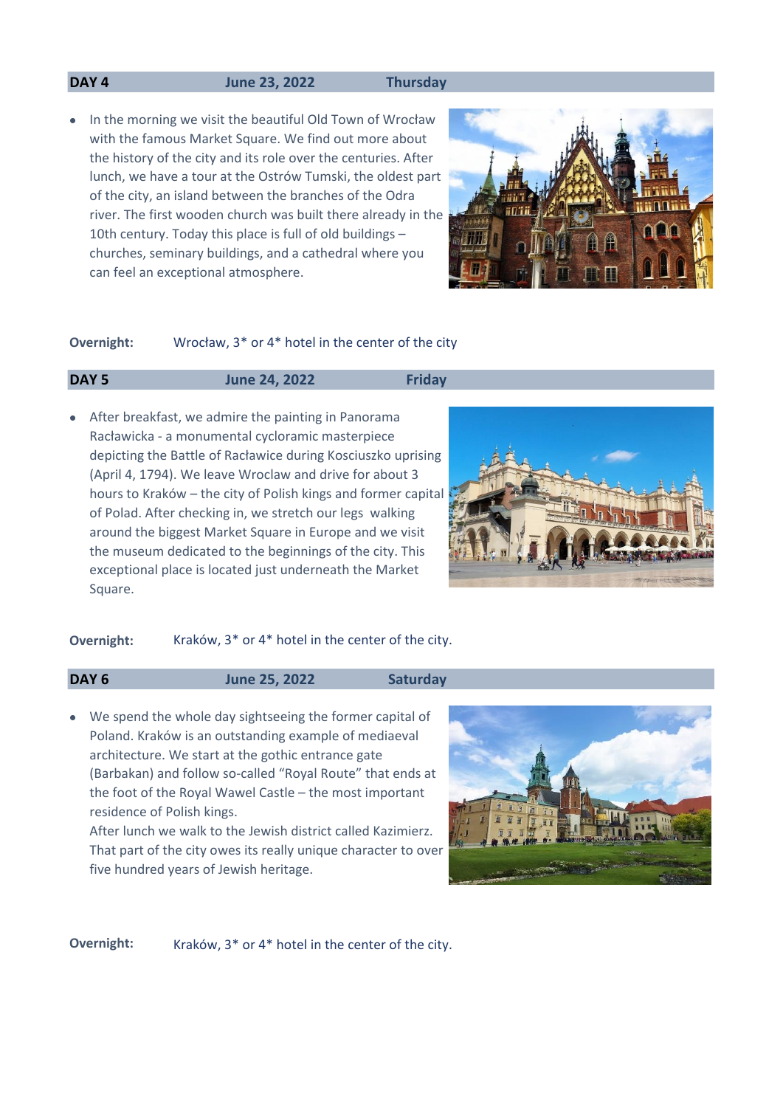# **DAY 4 June 23, 2022 Thursday**

• In the morning we visit the beautiful Old Town of Wrocław with the famous Market Square. We find out more about the history of the city and its role over the centuries. After lunch, we have a tour at the Ostrów Tumski, the oldest part of the city, an island between the branches of the Odra river. The first wooden church was built there already in the 10th century. Today this place is full of old buildings – churches, seminary buildings, and a cathedral where you can feel an exceptional atmosphere.



#### Wrocław, 3\* or 4\* hotel in the center of the city **Overnight:**

# **DAY 5 June 24, 2022 Friday**

• After breakfast, we admire the painting in Panorama Racławicka - a monumental cycloramic masterpiece depicting the Battle of Racławice during Kosciuszko uprising (April 4, 1794). We leave Wroclaw and drive for about 3 hours to Kraków – the city of Polish kings and former capital of Polad. After checking in, we stretch our legs walking around the biggest Market Square in Europe and we visit the museum dedicated to the beginnings of the city. This exceptional place is located just underneath the Market Square.



### **Overnight:** Kraków, 3<sup>\*</sup> or 4<sup>\*</sup> hotel in the center of the city.

# **DAY 6 June 25, 2022 Saturday**

• We spend the whole day sightseeing the former capital of Poland. Kraków is an outstanding example of mediaeval architecture. We start at the gothic entrance gate (Barbakan) and follow so-called "Royal Route" that ends at the foot of the Royal Wawel Castle – the most important residence of Polish kings.

After lunch we walk to the Jewish district called Kazimierz. That part of the city owes its really unique character to over five hundred years of Jewish heritage.



**Overnight:** Kraków, 3<sup>\*</sup> or 4<sup>\*</sup> hotel in the center of the city.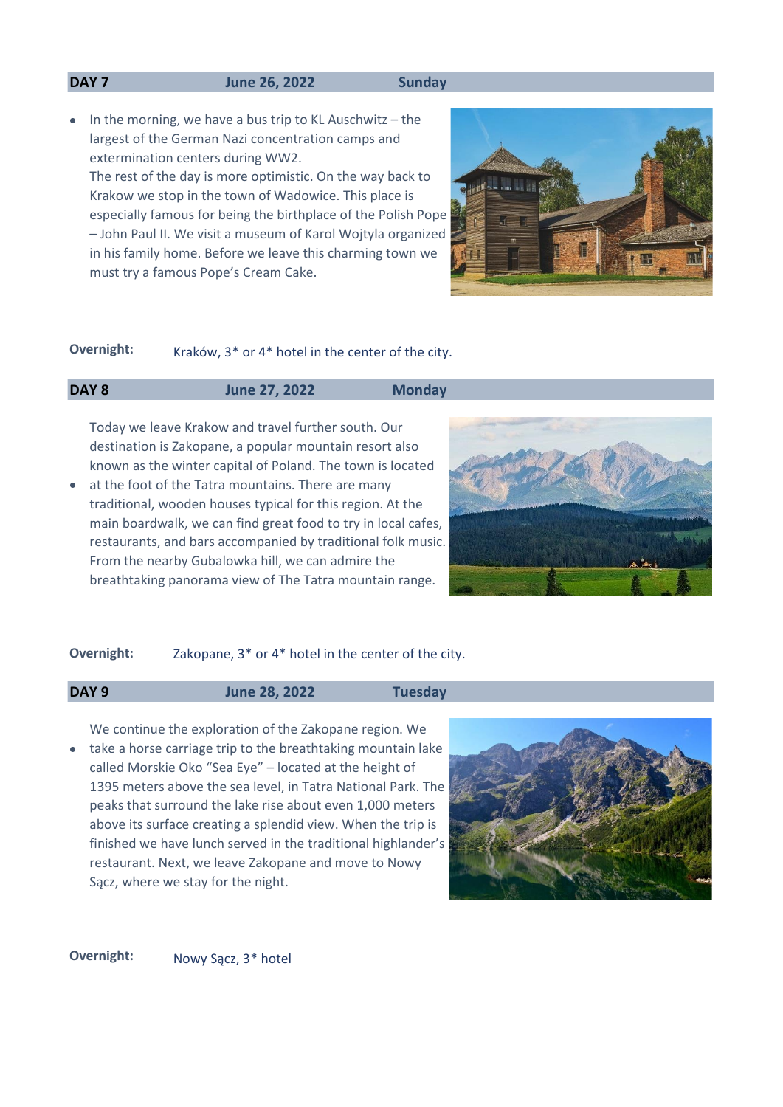#### **DAY 7 June 26, 2022 Sunday**

• In the morning, we have a bus trip to KL Auschwitz - the largest of the German Nazi concentration camps and extermination centers during WW2. The rest of the day is more optimistic. On the way back to Krakow we stop in the town of Wadowice. This place is especially famous for being the birthplace of the Polish Pope – John Paul II. We visit a museum of Karol Wojtyla organized in his family home. Before we leave this charming town we must try a famous Pope's Cream Cake.



# **Overnight:** Kraków, 3<sup>\*</sup> or 4<sup>\*</sup> hotel in the center of the city.

# **DAY 8 June 27, 2022 Monday**

Today we leave Krakow and travel further south. Our destination is Zakopane, a popular mountain resort also known as the winter capital of Poland. The town is located

• at the foot of the Tatra mountains. There are many traditional, wooden houses typical for this region. At the main boardwalk, we can find great food to try in local cafes, restaurants, and bars accompanied by traditional folk music. From the nearby Gubalowka hill, we can admire the breathtaking panorama view of The Tatra mountain range.



# **Overnight:** Zakopane, 3\* or 4\* hotel in the center of the city.

**DAY 9 June 28, 2022 Tuesday**

• take a horse carriage trip to the breathtaking mountain lake We continue the exploration of the Zakopane region. We called Morskie Oko "Sea Eye" – located at the height of 1395 meters above the sea level, in Tatra National Park. The peaks that surround the lake rise about even 1,000 meters above its surface creating a splendid view. When the trip is finished we have lunch served in the traditional highlander's restaurant. Next, we leave Zakopane and move to Nowy Sącz, where we stay for the night.



**Overnight:** Nowy Sacz, 3<sup>\*</sup> hotel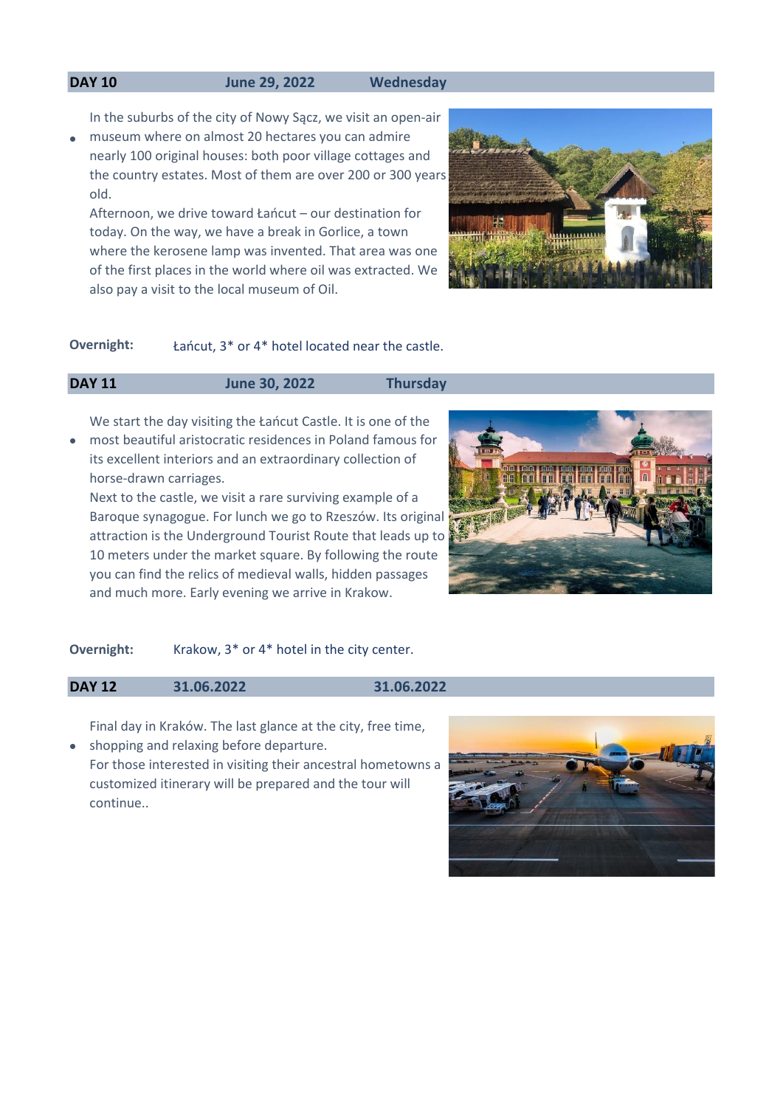### **DAY 10 June 29, 2022 Wednesday**

In the suburbs of the city of Nowy Sącz, we visit an open-air

• museum where on almost 20 hectares you can admire nearly 100 original houses: both poor village cottages and the country estates. Most of them are over 200 or 300 years old.

Afternoon, we drive toward Łańcut – our destination for today. On the way, we have a break in Gorlice, a town where the kerosene lamp was invented. That area was one of the first places in the world where oil was extracted. We also pay a visit to the local museum of Oil.



# **Overnight:** Łańcut, 3\* or 4\* hotel located near the castle.

# **DAY 11 June 30, 2022 Thursday**

• We start the day visiting the Łańcut Castle. It is one of the most beautiful aristocratic residences in Poland famous for its excellent interiors and an extraordinary collection of

horse-drawn carriages.

Next to the castle, we visit a rare surviving example of a Baroque synagogue. For lunch we go to Rzeszów. Its original attraction is the Underground Tourist Route that leads up to 10 meters under the market square. By following the route you can find the relics of medieval walls, hidden passages and much more. Early evening we arrive in Krakow.



#### **Overnight:** Krakow, 3<sup>\*</sup> or 4<sup>\*</sup> hotel in the city center.

### **DAY 12 31.06.2022 31.06.2022**

Final day in Kraków. The last glance at the city, free time,

• shopping and relaxing before departure. For those interested in visiting their ancestral hometowns a customized itinerary will be prepared and the tour will continue..